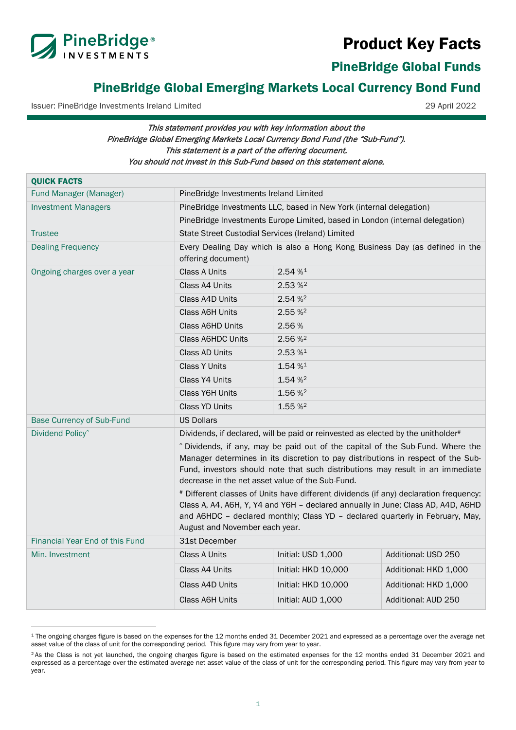



PineBridge Global Funds

# PineBridge Global Emerging Markets Local Currency Bond Fund

Issuer: PineBridge Investments Ireland Limited 29 April 2022

<span id="page-0-1"></span><span id="page-0-0"></span>

# This statement provides you with key information about the PineBridge Global Emerging Markets Local Currency Bond Fund (the "Sub-Fund"). This statement is a part of the offering document. You should not invest in this Sub-Fund based on this statement alone.

| <b>QUICK FACTS</b>                     |                                                                                                                                                                                                                                                                                              |                                                                     |                       |  |
|----------------------------------------|----------------------------------------------------------------------------------------------------------------------------------------------------------------------------------------------------------------------------------------------------------------------------------------------|---------------------------------------------------------------------|-----------------------|--|
| Fund Manager (Manager)                 | PineBridge Investments Ireland Limited                                                                                                                                                                                                                                                       |                                                                     |                       |  |
| <b>Investment Managers</b>             |                                                                                                                                                                                                                                                                                              | PineBridge Investments LLC, based in New York (internal delegation) |                       |  |
|                                        | PineBridge Investments Europe Limited, based in London (internal delegation)                                                                                                                                                                                                                 |                                                                     |                       |  |
| <b>Trustee</b>                         | State Street Custodial Services (Ireland) Limited                                                                                                                                                                                                                                            |                                                                     |                       |  |
| <b>Dealing Frequency</b>               | Every Dealing Day which is also a Hong Kong Business Day (as defined in the<br>offering document)                                                                                                                                                                                            |                                                                     |                       |  |
| Ongoing charges over a year            | <b>Class A Units</b>                                                                                                                                                                                                                                                                         | 2.54%                                                               |                       |  |
|                                        | Class A4 Units                                                                                                                                                                                                                                                                               | 2.53%                                                               |                       |  |
|                                        | Class A4D Units                                                                                                                                                                                                                                                                              | 2.54 % <sup>2</sup>                                                 |                       |  |
|                                        | Class A6H Units                                                                                                                                                                                                                                                                              | 2.55%                                                               |                       |  |
|                                        | Class A6HD Units                                                                                                                                                                                                                                                                             | 2.56%                                                               |                       |  |
|                                        | <b>Class A6HDC Units</b>                                                                                                                                                                                                                                                                     | 2.56 % <sup>2</sup>                                                 |                       |  |
|                                        | <b>Class AD Units</b>                                                                                                                                                                                                                                                                        | $2.53~\%$ <sup>1</sup>                                              |                       |  |
|                                        | <b>Class Y Units</b>                                                                                                                                                                                                                                                                         | 1.54 % <sup>1</sup>                                                 |                       |  |
|                                        | Class Y4 Units                                                                                                                                                                                                                                                                               | 1.54 % <sup>2</sup>                                                 |                       |  |
|                                        | Class Y6H Units                                                                                                                                                                                                                                                                              | 1.56 % <sup>2</sup>                                                 |                       |  |
|                                        | <b>Class YD Units</b>                                                                                                                                                                                                                                                                        | 1.55 % <sup>2</sup>                                                 |                       |  |
| <b>Base Currency of Sub-Fund</b>       | <b>US Dollars</b>                                                                                                                                                                                                                                                                            |                                                                     |                       |  |
| Dividend Policy <sup>^</sup>           | Dividends, if declared, will be paid or reinvested as elected by the unitholder#                                                                                                                                                                                                             |                                                                     |                       |  |
|                                        | ^ Dividends, if any, may be paid out of the capital of the Sub-Fund. Where the<br>Manager determines in its discretion to pay distributions in respect of the Sub-                                                                                                                           |                                                                     |                       |  |
|                                        | Fund, investors should note that such distributions may result in an immediate<br>decrease in the net asset value of the Sub-Fund.                                                                                                                                                           |                                                                     |                       |  |
|                                        | # Different classes of Units have different dividends (if any) declaration frequency:<br>Class A, A4, A6H, Y, Y4 and Y6H - declared annually in June; Class AD, A4D, A6HD<br>and A6HDC - declared monthly; Class YD - declared quarterly in February, May,<br>August and November each year. |                                                                     |                       |  |
| <b>Financial Year End of this Fund</b> | 31st December                                                                                                                                                                                                                                                                                |                                                                     |                       |  |
| Min. Investment                        | <b>Class A Units</b>                                                                                                                                                                                                                                                                         | Initial: USD 1,000                                                  | Additional: USD 250   |  |
|                                        | Class A4 Units                                                                                                                                                                                                                                                                               | Initial: HKD 10,000                                                 | Additional: HKD 1,000 |  |
|                                        | Class A4D Units                                                                                                                                                                                                                                                                              | Initial: HKD 10,000                                                 | Additional: HKD 1,000 |  |
|                                        | <b>Class A6H Units</b>                                                                                                                                                                                                                                                                       | Initial: AUD 1,000                                                  | Additional: AUD 250   |  |
|                                        |                                                                                                                                                                                                                                                                                              |                                                                     |                       |  |

<span id="page-0-2"></span><sup>1</sup> The ongoing charges figure is based on the expenses for the 12 months ended 31 December 2021 and expressed as a percentage over the average net asset value of the class of unit for the corresponding period. This figure may vary from year to year.

<span id="page-0-3"></span><sup>&</sup>lt;sup>2</sup> As the Class is not yet launched, the ongoing charges figure is based on the estimated expenses for the 12 months ended 31 December 2021 and expressed as a percentage over the estimated average net asset value of the class of unit for the corresponding period. This figure may vary from year to year.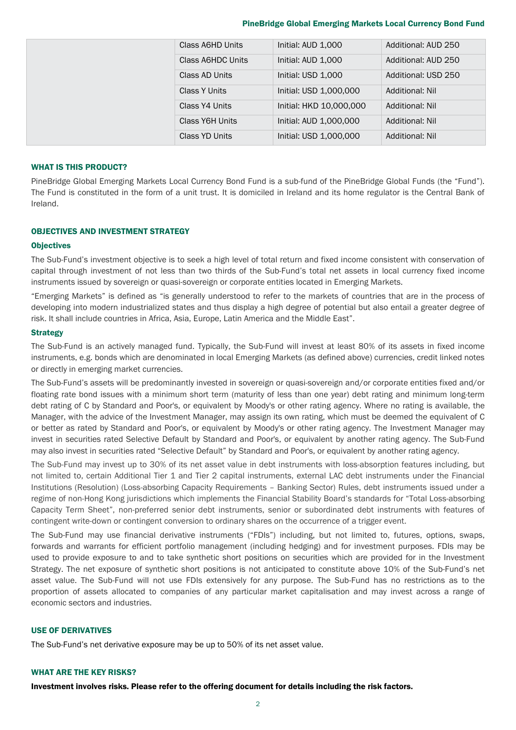#### PineBridge Global Emerging Markets Local Currency Bond Fund

|  | Class A6HD Units  | Initial: AUD 1,000      | Additional: AUD 250    |
|--|-------------------|-------------------------|------------------------|
|  | Class A6HDC Units | Initial: AUD 1,000      | Additional: AUD 250    |
|  | Class AD Units    | Initial: USD 1,000      | Additional: USD 250    |
|  | Class Y Units     | Initial: USD 1,000,000  | <b>Additional: Nil</b> |
|  | Class Y4 Units    | Initial: HKD 10,000,000 | <b>Additional: Nil</b> |
|  | Class Y6H Units   | Initial: AUD 1,000,000  | <b>Additional: Nil</b> |
|  | Class YD Units    | Initial: USD 1.000.000  | Additional: Nil        |

#### WHAT IS THIS PRODUCT?

PineBridge Global Emerging Markets Local Currency Bond Fund is a sub-fund of the PineBridge Global Funds (the "Fund"). The Fund is constituted in the form of a unit trust. It is domiciled in Ireland and its home regulator is the Central Bank of Ireland.

# OBJECTIVES AND INVESTMENT STRATEGY

# **Objectives**

The Sub-Fund's investment objective is to seek a high level of total return and fixed income consistent with conservation of capital through investment of not less than two thirds of the Sub-Fund's total net assets in local currency fixed income instruments issued by sovereign or quasi-sovereign or corporate entities located in Emerging Markets.

"Emerging Markets" is defined as "is generally understood to refer to the markets of countries that are in the process of developing into modern industrialized states and thus display a high degree of potential but also entail a greater degree of risk. It shall include countries in Africa, Asia, Europe, Latin America and the Middle East".

#### **Strategy**

The Sub-Fund is an actively managed fund. Typically, the Sub-Fund will invest at least 80% of its assets in fixed income instruments, e.g. bonds which are denominated in local Emerging Markets (as defined above) currencies, credit linked notes or directly in emerging market currencies.

The Sub-Fund's assets will be predominantly invested in sovereign or quasi-sovereign and/or corporate entities fixed and/or floating rate bond issues with a minimum short term (maturity of less than one year) debt rating and minimum long-term debt rating of C by Standard and Poor's, or equivalent by Moody's or other rating agency. Where no rating is available, the Manager, with the advice of the Investment Manager, may assign its own rating, which must be deemed the equivalent of C or better as rated by Standard and Poor's, or equivalent by Moody's or other rating agency. The Investment Manager may invest in securities rated Selective Default by Standard and Poor's, or equivalent by another rating agency. The Sub-Fund may also invest in securities rated "Selective Default" by Standard and Poor's, or equivalent by another rating agency.

The Sub-Fund may invest up to 30% of its net asset value in debt instruments with loss-absorption features including, but not limited to, certain Additional Tier 1 and Tier 2 capital instruments, external LAC debt instruments under the Financial Institutions (Resolution) (Loss-absorbing Capacity Requirements – Banking Sector) Rules, debt instruments issued under a regime of non-Hong Kong jurisdictions which implements the Financial Stability Board's standards for "Total Loss-absorbing Capacity Term Sheet", non-preferred senior debt instruments, senior or subordinated debt instruments with features of contingent write-down or contingent conversion to ordinary shares on the occurrence of a trigger event.

The Sub-Fund may use financial derivative instruments ("FDIs") including, but not limited to, futures, options, swaps, forwards and warrants for efficient portfolio management (including hedging) and for investment purposes. FDIs may be used to provide exposure to and to take synthetic short positions on securities which are provided for in the Investment Strategy. The net exposure of synthetic short positions is not anticipated to constitute above 10% of the Sub-Fund's net asset value. The Sub-Fund will not use FDIs extensively for any purpose. The Sub-Fund has no restrictions as to the proportion of assets allocated to companies of any particular market capitalisation and may invest across a range of economic sectors and industries.

# USE OF DERIVATIVES

The Sub-Fund's net derivative exposure may be up to 50% of its net asset value.

# WHAT ARE THE KEY RISKS?

Investment involves risks. Please refer to the offering document for details including the risk factors.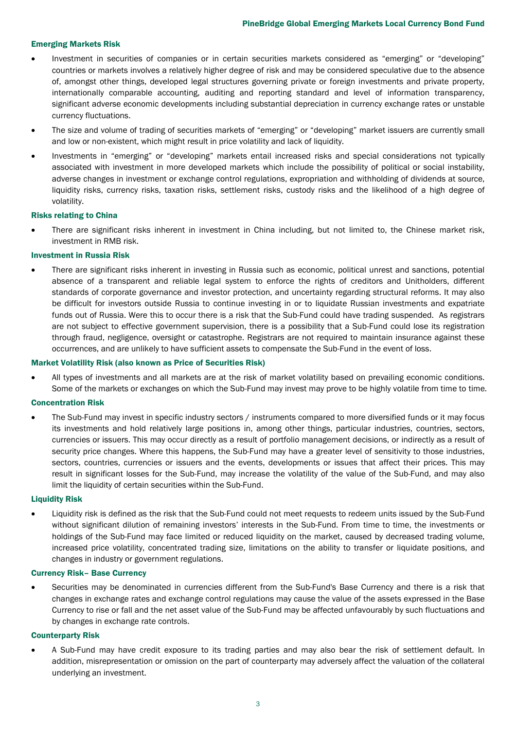# Emerging Markets Risk

- Investment in securities of companies or in certain securities markets considered as "emerging" or "developing" countries or markets involves a relatively higher degree of risk and may be considered speculative due to the absence of, amongst other things, developed legal structures governing private or foreign investments and private property, internationally comparable accounting, auditing and reporting standard and level of information transparency, significant adverse economic developments including substantial depreciation in currency exchange rates or unstable currency fluctuations.
- The size and volume of trading of securities markets of "emerging" or "developing" market issuers are currently small and low or non-existent, which might result in price volatility and lack of liquidity.
- Investments in "emerging" or "developing" markets entail increased risks and special considerations not typically associated with investment in more developed markets which include the possibility of political or social instability, adverse changes in investment or exchange control regulations, expropriation and withholding of dividends at source, liquidity risks, currency risks, taxation risks, settlement risks, custody risks and the likelihood of a high degree of volatility.

# Risks relating to China

• There are significant risks inherent in investment in China including, but not limited to, the Chinese market risk, investment in RMB risk.

#### Investment in Russia Risk

• There are significant risks inherent in investing in Russia such as economic, political unrest and sanctions, potential absence of a transparent and reliable legal system to enforce the rights of creditors and Unitholders, different standards of corporate governance and investor protection, and uncertainty regarding structural reforms. It may also be difficult for investors outside Russia to continue investing in or to liquidate Russian investments and expatriate funds out of Russia. Were this to occur there is a risk that the Sub-Fund could have trading suspended. As registrars are not subject to effective government supervision, there is a possibility that a Sub-Fund could lose its registration through fraud, negligence, oversight or catastrophe. Registrars are not required to maintain insurance against these occurrences, and are unlikely to have sufficient assets to compensate the Sub-Fund in the event of loss.

#### Market Volatility Risk (also known as Price of Securities Risk)

• All types of investments and all markets are at the risk of market volatility based on prevailing economic conditions. Some of the markets or exchanges on which the Sub-Fund may invest may prove to be highly volatile from time to time.

#### Concentration Risk

The Sub-Fund may invest in specific industry sectors / instruments compared to more diversified funds or it may focus its investments and hold relatively large positions in, among other things, particular industries, countries, sectors, currencies or issuers. This may occur directly as a result of portfolio management decisions, or indirectly as a result of security price changes. Where this happens, the Sub-Fund may have a greater level of sensitivity to those industries, sectors, countries, currencies or issuers and the events, developments or issues that affect their prices. This may result in significant losses for the Sub-Fund, may increase the volatility of the value of the Sub-Fund, and may also limit the liquidity of certain securities within the Sub-Fund.

# Liquidity Risk

• Liquidity risk is defined as the risk that the Sub-Fund could not meet requests to redeem units issued by the Sub-Fund without significant dilution of remaining investors' interests in the Sub-Fund. From time to time, the investments or holdings of the Sub-Fund may face limited or reduced liquidity on the market, caused by decreased trading volume, increased price volatility, concentrated trading size, limitations on the ability to transfer or liquidate positions, and changes in industry or government regulations.

#### Currency Risk– Base Currency

• Securities may be denominated in currencies different from the Sub-Fund's Base Currency and there is a risk that changes in exchange rates and exchange control regulations may cause the value of the assets expressed in the Base Currency to rise or fall and the net asset value of the Sub-Fund may be affected unfavourably by such fluctuations and by changes in exchange rate controls.

#### Counterparty Risk

• A Sub-Fund may have credit exposure to its trading parties and may also bear the risk of settlement default. In addition, misrepresentation or omission on the part of counterparty may adversely affect the valuation of the collateral underlying an investment.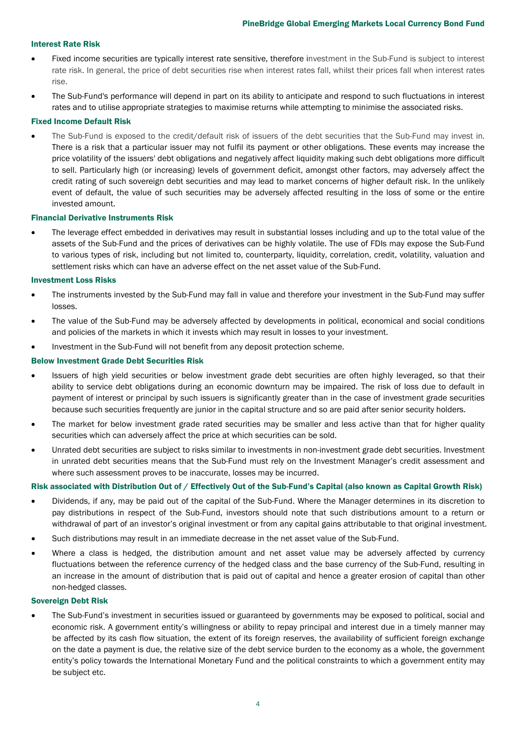## Interest Rate Risk

- Fixed income securities are typically interest rate sensitive, therefore investment in the Sub-Fund is subject to interest rate risk. In general, the price of debt securities rise when interest rates fall, whilst their prices fall when interest rates rise.
- The Sub-Fund's performance will depend in part on its ability to anticipate and respond to such fluctuations in interest rates and to utilise appropriate strategies to maximise returns while attempting to minimise the associated risks.

#### Fixed Income Default Risk

• The Sub-Fund is exposed to the credit/default risk of issuers of the debt securities that the Sub-Fund may invest in. There is a risk that a particular issuer may not fulfil its payment or other obligations. These events may increase the price volatility of the issuers' debt obligations and negatively affect liquidity making such debt obligations more difficult to sell. Particularly high (or increasing) levels of government deficit, amongst other factors, may adversely affect the credit rating of such sovereign debt securities and may lead to market concerns of higher default risk. In the unlikely event of default, the value of such securities may be adversely affected resulting in the loss of some or the entire invested amount.

#### Financial Derivative Instruments Risk

• The leverage effect embedded in derivatives may result in substantial losses including and up to the total value of the assets of the Sub-Fund and the prices of derivatives can be highly volatile. The use of FDIs may expose the Sub-Fund to various types of risk, including but not limited to, counterparty, liquidity, correlation, credit, volatility, valuation and settlement risks which can have an adverse effect on the net asset value of the Sub-Fund.

#### Investment Loss Risks

- The instruments invested by the Sub-Fund may fall in value and therefore your investment in the Sub-Fund may suffer losses.
- The value of the Sub-Fund may be adversely affected by developments in political, economical and social conditions and policies of the markets in which it invests which may result in losses to your investment.
- Investment in the Sub-Fund will not benefit from any deposit protection scheme.

#### Below Investment Grade Debt Securities Risk

- Issuers of high yield securities or below investment grade debt securities are often highly leveraged, so that their ability to service debt obligations during an economic downturn may be impaired. The risk of loss due to default in payment of interest or principal by such issuers is significantly greater than in the case of investment grade securities because such securities frequently are junior in the capital structure and so are paid after senior security holders.
- The market for below investment grade rated securities may be smaller and less active than that for higher quality securities which can adversely affect the price at which securities can be sold.
- Unrated debt securities are subject to risks similar to investments in non-investment grade debt securities. Investment in unrated debt securities means that the Sub-Fund must rely on the Investment Manager's credit assessment and where such assessment proves to be inaccurate, losses may be incurred.

#### Risk associated with Distribution Out of / Effectively Out of the Sub-Fund's Capital (also known as Capital Growth Risk)

- Dividends, if any, may be paid out of the capital of the Sub-Fund. Where the Manager determines in its discretion to pay distributions in respect of the Sub-Fund, investors should note that such distributions amount to a return or withdrawal of part of an investor's original investment or from any capital gains attributable to that original investment.
- Such distributions may result in an immediate decrease in the net asset value of the Sub-Fund.
- Where a class is hedged, the distribution amount and net asset value may be adversely affected by currency fluctuations between the reference currency of the hedged class and the base currency of the Sub-Fund, resulting in an increase in the amount of distribution that is paid out of capital and hence a greater erosion of capital than other non-hedged classes.

#### Sovereign Debt Risk

• The Sub-Fund's investment in securities issued or guaranteed by governments may be exposed to political, social and economic risk. A government entity's willingness or ability to repay principal and interest due in a timely manner may be affected by its cash flow situation, the extent of its foreign reserves, the availability of sufficient foreign exchange on the date a payment is due, the relative size of the debt service burden to the economy as a whole, the government entity's policy towards the International Monetary Fund and the political constraints to which a government entity may be subject etc.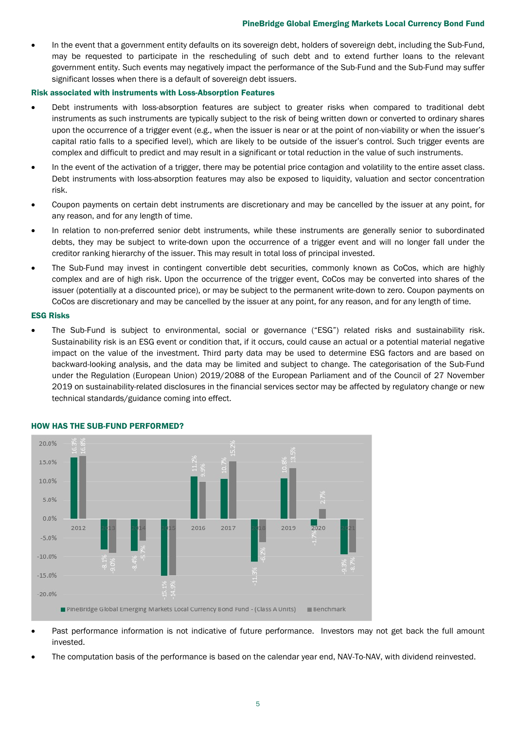#### PineBridge Global Emerging Markets Local Currency Bond Fund

• In the event that a government entity defaults on its sovereign debt, holders of sovereign debt, including the Sub-Fund, may be requested to participate in the rescheduling of such debt and to extend further loans to the relevant government entity. Such events may negatively impact the performance of the Sub-Fund and the Sub-Fund may suffer significant losses when there is a default of sovereign debt issuers.

#### Risk associated with instruments with Loss-Absorption Features

- Debt instruments with loss-absorption features are subject to greater risks when compared to traditional debt instruments as such instruments are typically subject to the risk of being written down or converted to ordinary shares upon the occurrence of a trigger event (e.g., when the issuer is near or at the point of non-viability or when the issuer's capital ratio falls to a specified level), which are likely to be outside of the issuer's control. Such trigger events are complex and difficult to predict and may result in a significant or total reduction in the value of such instruments.
- In the event of the activation of a trigger, there may be potential price contagion and volatility to the entire asset class. Debt instruments with loss-absorption features may also be exposed to liquidity, valuation and sector concentration risk.
- Coupon payments on certain debt instruments are discretionary and may be cancelled by the issuer at any point, for any reason, and for any length of time.
- In relation to non-preferred senior debt instruments, while these instruments are generally senior to subordinated debts, they may be subject to write-down upon the occurrence of a trigger event and will no longer fall under the creditor ranking hierarchy of the issuer. This may result in total loss of principal invested.
- The Sub-Fund may invest in contingent convertible debt securities, commonly known as CoCos, which are highly complex and are of high risk. Upon the occurrence of the trigger event, CoCos may be converted into shares of the issuer (potentially at a discounted price), or may be subject to the permanent write-down to zero. Coupon payments on CoCos are discretionary and may be cancelled by the issuer at any point, for any reason, and for any length of time.

#### ESG Risks

• The Sub-Fund is subject to environmental, social or governance ("ESG") related risks and sustainability risk. Sustainability risk is an ESG event or condition that, if it occurs, could cause an actual or a potential material negative impact on the value of the investment. Third party data may be used to determine ESG factors and are based on backward-looking analysis, and the data may be limited and subject to change. The categorisation of the Sub-Fund under the Regulation (European Union) 2019/2088 of the European Parliament and of the Council of 27 November 2019 on sustainability-related disclosures in the financial services sector may be affected by regulatory change or new technical standards/guidance coming into effect.



# HOW HAS THE SUB-FUND PERFORMED?

- Past performance information is not indicative of future performance. Investors may not get back the full amount invested.
- The computation basis of the performance is based on the calendar year end, NAV-To-NAV, with dividend reinvested.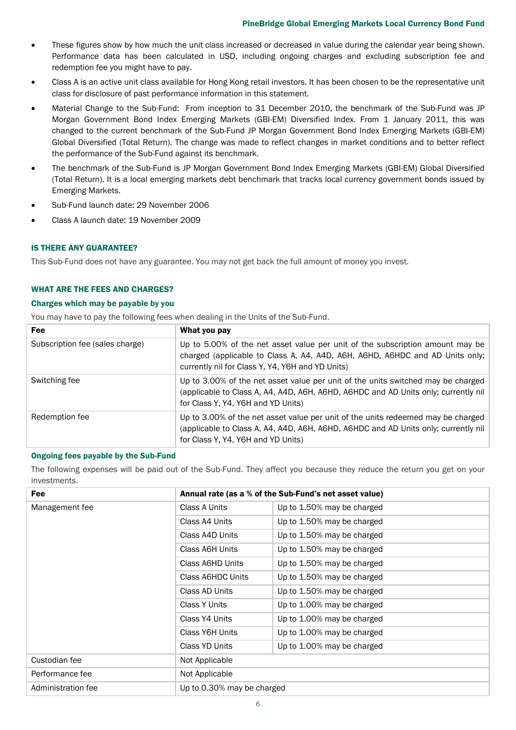- These figures show by how much the unit class increased or decreased in value during the calendar year being shown. Performance data has been calculated in USD, including ongoing charges and excluding subscription fee and redemption fee you might have to pay.
- Class A is an active unit class available for Hong Kong retail investors. It has been chosen to be the representative unit class for disclosure of past performance information in this statement.
- Material Change to the Sub-Fund: From inception to 31 December 2010, the benchmark of the Sub-Fund was JP Morgan Government Bond Index Emerging Markets (GBI-EM) Diversified Index. From 1 January 2011, this was changed to the current benchmark of the Sub-Fund JP Morgan Government Bond Index Emerging Markets (GBI-EM) Global Diversified (Total Return). The change was made to reflect changes in market conditions and to better reflect the performance of the Sub-Fund against its benchmark.
- The benchmark of the Sub-Fund is JP Morgan Government Bond Index Emerging Markets (GBI-EM) Global Diversified (Total Return). It is a local emerging markets debt benchmark that tracks local currency government bonds issued by Emerging Markets.
- Sub-Fund launch date: 29 November 2006
- Class A launch date: 19 November 2009

# IS THERE ANY GUARANTEE?

This Sub-Fund does not have any guarantee. You may not get back the full amount of money you invest.

# WHAT ARE THE FEES AND CHARGES?

# Charges which may be payable by you

You may have to pay the following fees when dealing in the Units of the Sub-Fund.

| <b>Fee</b>                      | What you pay                                                                                                                                                                                                      |
|---------------------------------|-------------------------------------------------------------------------------------------------------------------------------------------------------------------------------------------------------------------|
| Subscription fee (sales charge) | Up to 5.00% of the net asset value per unit of the subscription amount may be<br>charged (applicable to Class A, A4, A4D, A6H, A6HD, A6HDC and AD Units only;<br>currently nil for Class Y, Y4, Y6H and YD Units) |
| Switching fee                   | Up to 3.00% of the net asset value per unit of the units switched may be charged<br>(applicable to Class A, A4, A4D, A6H, A6HD, A6HDC and AD Units only; currently nil<br>for Class Y, Y4, Y6H and YD Units)      |
| Redemption fee                  | Up to 3.00% of the net asset value per unit of the units redeemed may be charged<br>(applicable to Class A, A4, A4D, A6H, A6HD, A6HDC and AD Units only; currently nil<br>for Class Y, Y4, Y6H and YD Units)      |

# Ongoing fees payable by the Sub-Fund

The following expenses will be paid out of the Sub-Fund. They affect you because they reduce the return you get on your investments.

| Fee                | Annual rate (as a % of the Sub-Fund's net asset value) |                            |
|--------------------|--------------------------------------------------------|----------------------------|
| Management fee     | Class A Units                                          | Up to 1.50% may be charged |
|                    | Class A4 Units                                         | Up to 1.50% may be charged |
|                    | Class A4D Units                                        | Up to 1.50% may be charged |
|                    | Class A6H Units                                        | Up to 1.50% may be charged |
|                    | Class A6HD Units                                       | Up to 1.50% may be charged |
|                    | Class A6HDC Units                                      | Up to 1.50% may be charged |
|                    | Class AD Units                                         | Up to 1.50% may be charged |
|                    | Class Y Units                                          | Up to 1.00% may be charged |
|                    | Class Y4 Units                                         | Up to 1.00% may be charged |
|                    | Class Y6H Units                                        | Up to 1.00% may be charged |
|                    | Class YD Units                                         | Up to 1.00% may be charged |
| Custodian fee      | Not Applicable                                         |                            |
| Performance fee    | Not Applicable                                         |                            |
| Administration fee | Up to 0.30% may be charged                             |                            |